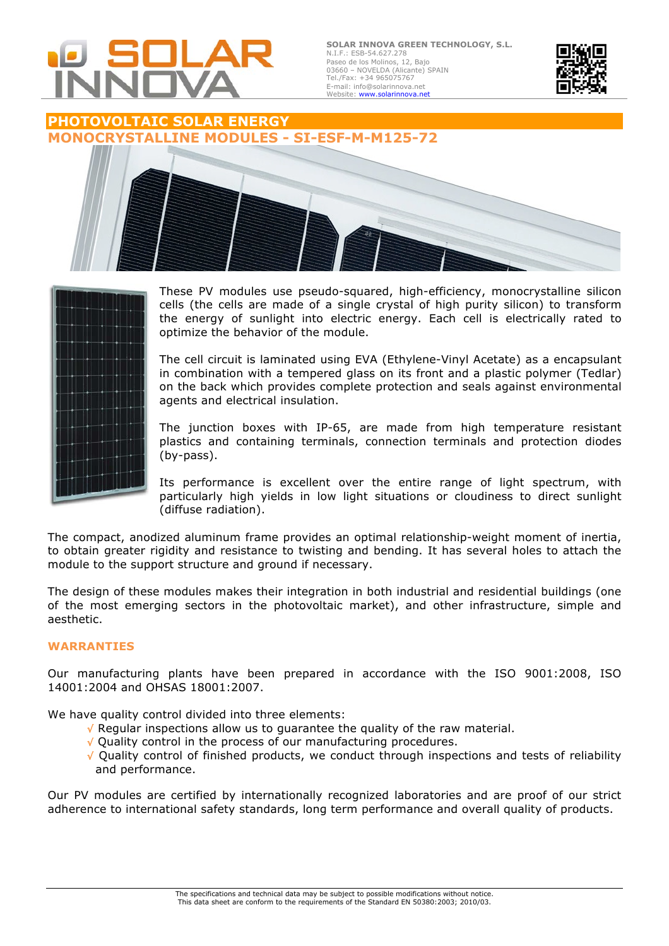

**SOLAR INNOVA GREEN TECHNOLOGY, S.L.** N.I.F.: ESB-54.627.278 Paseo de los Molinos, 12, Bajo 03660 – NOVELDA (Alicante) SPAIN Tel./Fax: +34 965075767 E-mail: info@solarinnova.net Website: www.solarinnova.net



# **PHOTOVOLTAIC SOLAR ENERGY MONOCRYSTALLINE MODULES - SI-ESF-M-M125-72**





These PV modules use pseudo-squared, high-efficiency, monocrystalline silicon cells (the cells are made of a single crystal of high purity silicon) to transform the energy of sunlight into electric energy. Each cell is electrically rated to optimize the behavior of the module.

The cell circuit is laminated using EVA (Ethylene-Vinyl Acetate) as a encapsulant in combination with a tempered glass on its front and a plastic polymer (Tedlar) on the back which provides complete protection and seals against environmental agents and electrical insulation.

The junction boxes with IP-65, are made from high temperature resistant plastics and containing terminals, connection terminals and protection diodes (by-pass).

Its performance is excellent over the entire range of light spectrum, with particularly high yields in low light situations or cloudiness to direct sunlight (diffuse radiation).

The compact, anodized aluminum frame provides an optimal relationship-weight moment of inertia, to obtain greater rigidity and resistance to twisting and bending. It has several holes to attach the module to the support structure and ground if necessary.

The design of these modules makes their integration in both industrial and residential buildings (one of the most emerging sectors in the photovoltaic market), and other infrastructure, simple and aesthetic.

### **WARRANTIES**

Our manufacturing plants have been prepared in accordance with the ISO 9001:2008, ISO 14001:2004 and OHSAS 18001:2007.

We have quality control divided into three elements:

- √ Regular inspections allow us to guarantee the quality of the raw material.
- √ Quality control in the process of our manufacturing procedures.
- √ Quality control of finished products, we conduct through inspections and tests of reliability and performance.

Our PV modules are certified by internationally recognized laboratories and are proof of our strict adherence to international safety standards, long term performance and overall quality of products.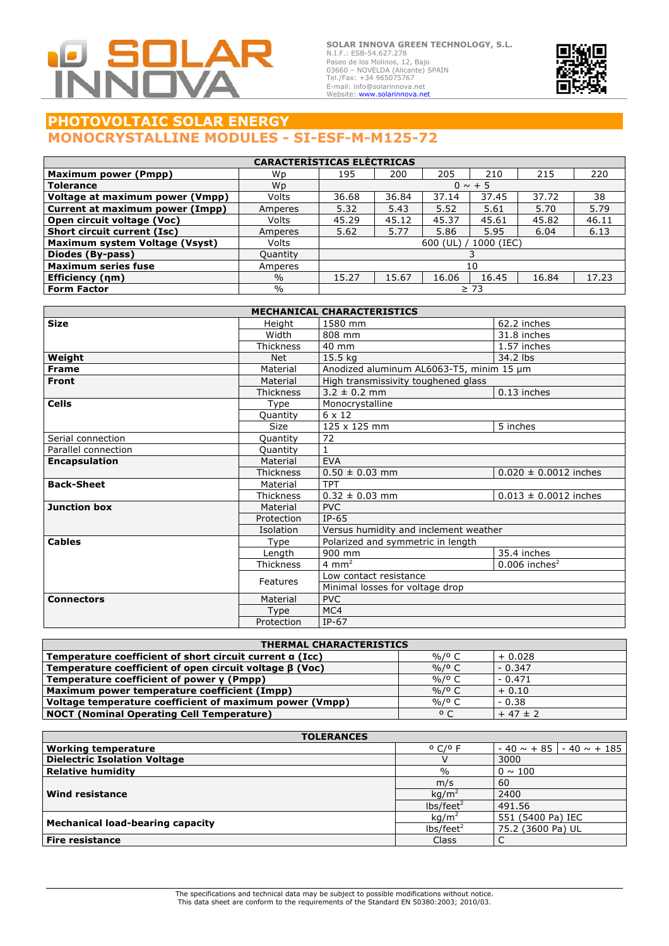

**SOLAR INNOVA GREEN TECHNOLOGY, S.L.** N.I.F.: ESB-54.627.278<br>Paseo de los Molinos, 12, Bajo<br>03660 – NOVELDA (Alicante) SPAIN<br>Tel./Fax: +34 965075767<br>Tel./Fax: +34 965075767<br>E-mail: info@solarinnova.net<br>Website: **www.solarinnova.net** 



## **PHOTOVOLTAIC SOLAR ENERGY MONOCRYSTALLINE MODULES - SI-ESF-M-M125-72**

| <b>CARACTERÍSTICAS ELÉCTRICAS</b>  |               |                          |       |       |       |       |       |
|------------------------------------|---------------|--------------------------|-------|-------|-------|-------|-------|
| <b>Maximum power (Pmpp)</b>        | Wp            | 195                      | 200   | 205   | 210   | 215   | 220   |
| <b>Tolerance</b>                   | Wp            | $0 \sim +5$              |       |       |       |       |       |
| Voltage at maximum power (Vmpp)    | Volts         | 36.68                    | 36.84 | 37.14 | 37.45 | 37.72 | 38    |
| Current at maximum power (Impp)    | Amperes       | 5.32                     | 5.43  | 5.52  | 5.61  | 5.70  | 5.79  |
| Open circuit voltage (Voc)         | Volts         | 45.29                    | 45.12 | 45.37 | 45.61 | 45.82 | 46.11 |
| <b>Short circuit current (Isc)</b> | Amperes       | 5.62                     | 5.77  | 5.86  | 5.95  | 6.04  | 6.13  |
| Maximum system Voltage (Vsyst)     | Volts         | 1000 (IEC)<br>$600$ (UL) |       |       |       |       |       |
| Diodes (By-pass)                   | Quantity      |                          |       |       |       |       |       |
| <b>Maximum series fuse</b>         | Amperes       | 10                       |       |       |       |       |       |
| Efficiency (nm)                    | $\frac{0}{0}$ | 15.27                    | 15.67 | 16.06 | 16.45 | 16.84 | 17.23 |
| <b>Form Factor</b>                 | $\%$          | $\geq 73$                |       |       |       |       |       |

| <b>MECHANICAL CHARACTERISTICS</b> |                        |                                          |                             |  |
|-----------------------------------|------------------------|------------------------------------------|-----------------------------|--|
| <b>Size</b>                       | Height                 | 1580 mm                                  | 62.2 inches                 |  |
|                                   | Width                  | 808 mm                                   | 31.8 inches                 |  |
|                                   | <b>Thickness</b>       | 40 mm                                    | 1.57 inches                 |  |
| Weight                            | <b>Net</b>             | 15.5 kg                                  | 34.2 lbs                    |  |
| <b>Frame</b>                      | Material               | Anodized aluminum AL6063-T5, minim 15 um |                             |  |
| Front                             | Material               | High transmissivity toughened glass      |                             |  |
|                                   | <b>Thickness</b>       | $3.2 \pm 0.2$ mm                         | 0.13 inches                 |  |
| <b>Cells</b>                      | Type                   | Monocrystalline                          |                             |  |
|                                   | Quantity               | $6 \times 12$                            |                             |  |
|                                   | <b>Size</b>            | 125 x 125 mm                             | 5 inches                    |  |
| Serial connection                 | Quantity               | 72                                       |                             |  |
| Parallel connection               | Quantity               | $\mathbf{1}$                             |                             |  |
| <b>Encapsulation</b>              | Material               | <b>EVA</b>                               |                             |  |
|                                   | <b>Thickness</b>       | $0.50 \pm 0.03$ mm                       | $0.020 \pm 0.0012$ inches   |  |
| <b>Back-Sheet</b>                 | Material               | <b>TPT</b>                               |                             |  |
|                                   | <b>Thickness</b>       | $0.32 \pm 0.03$ mm                       | $0.013 \pm 0.0012$ inches   |  |
| <b>Junction box</b>               | Material               | <b>PVC</b>                               |                             |  |
|                                   | Protection             | $IP-65$                                  |                             |  |
|                                   | Isolation              | Versus humidity and inclement weather    |                             |  |
| <b>Cables</b>                     | Type                   | Polarized and symmetric in length        |                             |  |
|                                   | Length                 | 900 mm                                   | 35.4 inches                 |  |
|                                   | Thickness              | $4 \text{ mm}^2$                         | $0.006$ inches <sup>2</sup> |  |
|                                   | Features               | Low contact resistance                   |                             |  |
| Minimal losses for voltage drop   |                        |                                          |                             |  |
| <b>Connectors</b>                 | <b>PVC</b><br>Material |                                          |                             |  |
|                                   | Type                   | MC4                                      |                             |  |
|                                   | Protection             |                                          | $IP-67$                     |  |

| <b>THERMAL CHARACTERISTICS</b>                                |                           |             |  |  |
|---------------------------------------------------------------|---------------------------|-------------|--|--|
| Temperature coefficient of short circuit current a (Icc)      | $\frac{9}{6}$ / $\circ$ C | $+0.028$    |  |  |
| Temperature coefficient of open circuit voltage $\beta$ (Voc) | $\frac{9}{6}$ /° C        | $-0.347$    |  |  |
| Temperature coefficient of power $\gamma$ (Pmpp)              | %/º C                     | $-0.471$    |  |  |
| Maximum power temperature coefficient (Impp)                  | $\%$ / $\circ$ C          | $+0.10$     |  |  |
| Voltage temperature coefficient of maximum power (Vmpp)       | %/º C                     | $-0.38$     |  |  |
| NOCT (Nominal Operating Cell Temperature)                     | $^{\circ}$ C              | $+47 \pm 2$ |  |  |

| <b>TOLERANCES</b>                   |                            |                                   |  |  |
|-------------------------------------|----------------------------|-----------------------------------|--|--|
| <b>Working temperature</b>          | $^{\circ}$ C/ $^{\circ}$ F | $-40 \sim +85$<br>$-40 \sim +185$ |  |  |
| <b>Dielectric Isolation Voltage</b> |                            | 3000                              |  |  |
| <b>Relative humidity</b>            | $\%$                       | $0 \sim 100$                      |  |  |
|                                     | m/s                        | 60                                |  |  |
| Wind resistance                     | kg/m <sup>2</sup>          | 2400                              |  |  |
|                                     | lbs/feet <sup>2</sup>      | 491.56                            |  |  |
|                                     | kq/m <sup>2</sup>          | 551 (5400 Pa) IEC                 |  |  |
| Mechanical load-bearing capacity    | lbs/feet <sup>2</sup>      | 75.2 (3600 Pa) UL                 |  |  |
| Fire resistance                     | Class                      |                                   |  |  |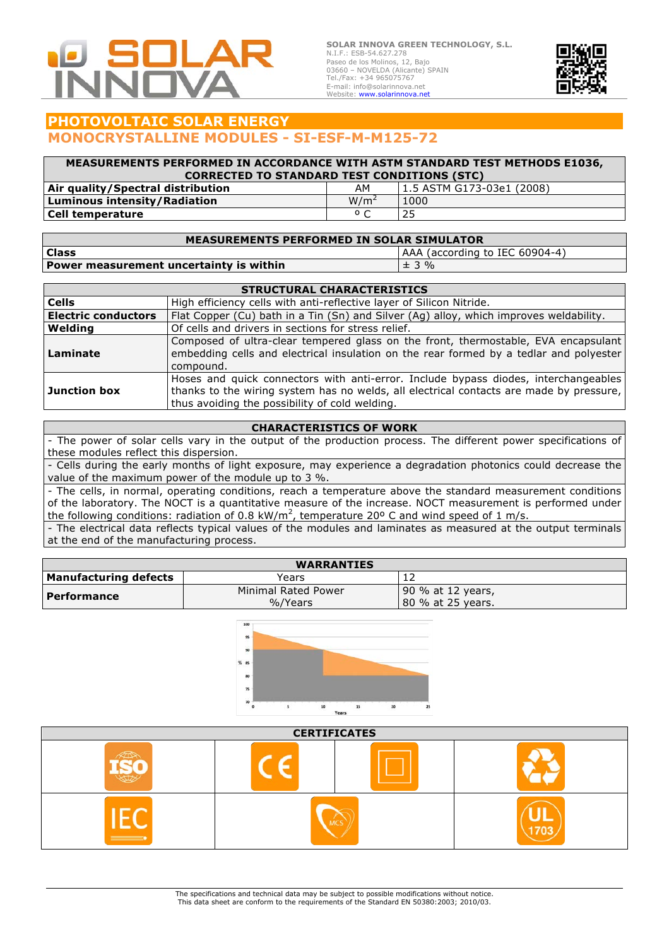

**SOLAR INNOVA GREEN TECHNOLOGY, S.L.** N.I.F.: ESB-54.627.278 Paseo de los Molinos, 12, Bajo 03660 – NOVELDA (Alicante) SPAIN Tel./Fax: +34 965075767 E-mail: info@solarinnova.net Website: www.solarinnova.net



# **PHOTOVOLTAIC SOLAR ENERGY MONOCRYSTALLINE MODULES - SI-ESF-M-M125-72**

#### **MEASUREMENTS PERFORMED IN ACCORDANCE WITH ASTM STANDARD TEST METHODS E1036, CORRECTED TO STANDARD TEST CONDITIONS (STC) Air quality/Spectral distribution**<br> **Luminous intensity/Radiation**<br>
W/m<sup>2</sup> 1000 **Luminous intensity/Radiation** M/m<sup>2</sup> 1000 **Cell temperature** º C 25

| <b>MEASUREMENTS PERFORMED IN SOLAR SIMULATOR</b> |                                |  |  |  |
|--------------------------------------------------|--------------------------------|--|--|--|
| <b>Class</b>                                     | AAA (according to IEC 60904-4) |  |  |  |
| Power measurement uncertainty is within          | $± 3 \%$                       |  |  |  |

| <b>STRUCTURAL CHARACTERISTICS</b> |                                                                                                                                                                                                                                  |  |  |
|-----------------------------------|----------------------------------------------------------------------------------------------------------------------------------------------------------------------------------------------------------------------------------|--|--|
| <b>Cells</b>                      | High efficiency cells with anti-reflective layer of Silicon Nitride.                                                                                                                                                             |  |  |
| <b>Electric conductors</b>        | Flat Copper (Cu) bath in a Tin (Sn) and Silver (Ag) alloy, which improves weldability.                                                                                                                                           |  |  |
| Welding                           | Of cells and drivers in sections for stress relief.                                                                                                                                                                              |  |  |
| Laminate                          | Composed of ultra-clear tempered glass on the front, thermostable, EVA encapsulant<br>embedding cells and electrical insulation on the rear formed by a tedlar and polyester<br>compound.                                        |  |  |
| Junction box                      | Hoses and quick connectors with anti-error. Include bypass diodes, interchangeables<br>thanks to the wiring system has no welds, all electrical contacts are made by pressure,<br>thus avoiding the possibility of cold welding. |  |  |

### **CHARACTERISTICS OF WORK**

- The power of solar cells vary in the output of the production process. The different power specifications of these modules reflect this dispersion.

- Cells during the early months of light exposure, may experience a degradation photonics could decrease the value of the maximum power of the module up to 3 %.

- The cells, in normal, operating conditions, reach a temperature above the standard measurement conditions of the laboratory. The NOCT is a quantitative measure of the increase. NOCT measurement is performed under the following conditions: radiation of 0.8 kW/m<sup>2</sup>, temperature 20° C and wind speed of 1 m/s.

- The electrical data reflects typical values of the modules and laminates as measured at the output terminals at the end of the manufacturing process.

| <b>WARRANTIES</b>            |                                |                                         |  |  |
|------------------------------|--------------------------------|-----------------------------------------|--|--|
| <b>Manufacturing defects</b> | Years                          |                                         |  |  |
| Performance                  | Minimal Rated Power<br>%/Years | 90 % at 12 years,<br>180 % at 25 vears. |  |  |



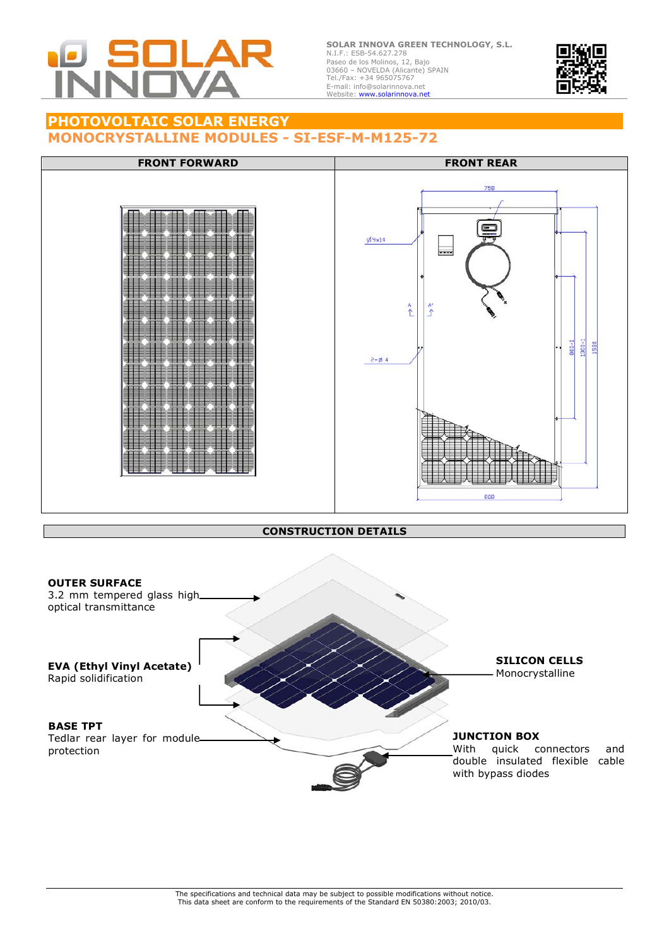

**SOLAR INNOVA GREEN TECHNOLOGY, S.L.** N.I.F.: ESB-54.627.278 Paseo de los Molinos, 12, Bajo 03660 – NOVELDA (Alicante) SPAIN Tel./Fax: +34 965075767 E-mail: info@solarinnova.net<br>Website: **www.solarinnova.net** 



### **PHOTOVOLTAIC SOLAR ENERGY MONOCRYSTALLINE MODULES - SI-ESF-M-M125-72**



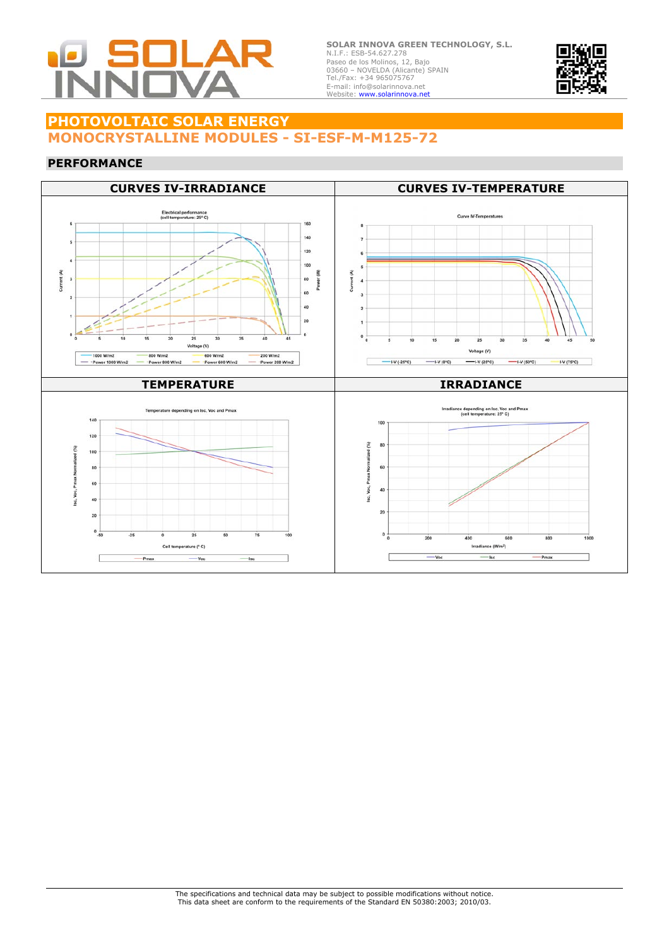

**SOLAR INNOVA GREEN TECHNOLOGY, S.L.** N.I.F.: ESB-54.627.278 Paseo de los Molinos, 12, Bajo 03660 – NOVELDA (Alicante) SPAIN Tel./Fax: +34 965075767 E-mail: info@solarinnova.net<br>Website: **www.solarinnova.net** 



## **PHOTOVOLTAIC SOLAR ENERGY MONOCRYSTALLINE MODULES - SI-ESF-M-M125-72**

#### **PERFORMANCE**